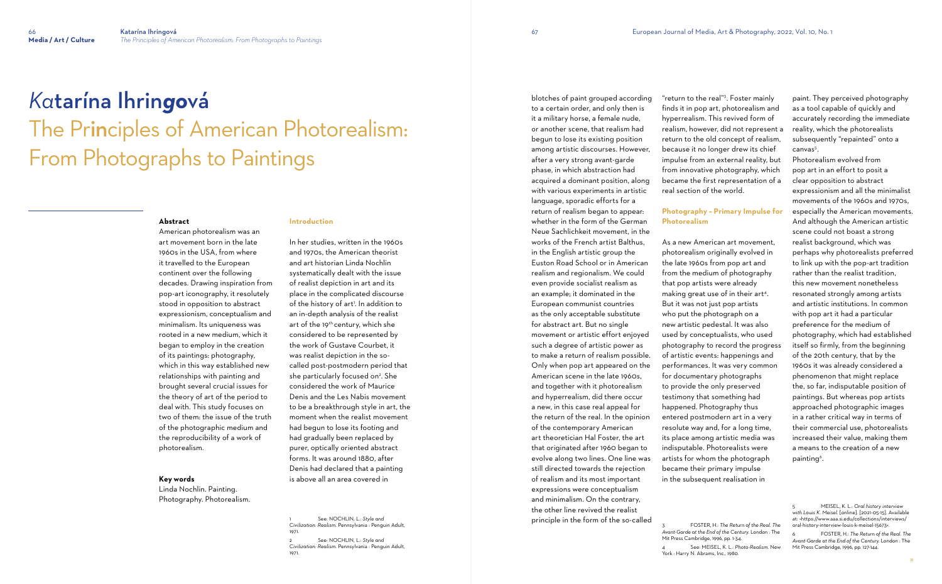# *Ka*tarína Ihrin*go*vá The Principles of American Photorealism: From Photographs to Paintings

#### **Abstract**

American photorealism was an art movement born in the late 1960s in the USA, from where it travelled to the European continent over the following decades. Drawing inspiration from pop-art iconography, it resolutely stood in opposition to abstract expressionism, conceptualism and minimalism. Its uniqueness was rooted in a new medium, which it began to employ in the creation of its paintings: photography, which in this way established new relationships with painting and brought several crucial issues for the theory of art of the period to deal with. This study focuses on two of them: the issue of the truth of the photographic medium and the reproducibility of a work of photorealism.

#### **Key words**

Linda Nochlin. Painting. Photography. Photorealism.

### **Introduction**

In her studies, written in the 1960s and 1970s, the American theorist and art historian Linda Nochlin systematically dealt with the issue of realist depiction in art and its place in the complicated discourse of the history of art'. In addition to an in-depth analysis of the realist art of the 19<sup>th</sup> century, which she considered to be represented by the work of Gustave Courbet, it was realist depiction in the socalled post-postmodern period that she particularly focused on<sup>2</sup>. She considered the work of Maurice Denis and the Les Nabis movement to be a breakthrough style in art, the moment when the realist movement had begun to lose its footing and had gradually been replaced by purer, optically oriented abstract forms. It was around 1880, after Denis had declared that a painting is above all an area covered in

1 See: NOCHLIN, L.: *Style and Civilization: Realism*. Pennsylvania : Penguin Adult, 1971. 2 See: NOCHLIN, L.: *Style and* 

*Civilization: Realism*. Pennsylvania : Penguin Adult, 1971.

Photorealism evolved from pop art in an effort to posit a clear opposition to abstract expressionism and all the minimalist movements of the 1960s and 1970s, especially the American movements. And although the American artistic scene could not boast a strong realist background, which was perhaps why photorealists preferred to link up with the pop-art tradition rather than the realist tradition, this new movement nonetheless resonated strongly among artists and artistic institutions. In common with pop art it had a particular preference for the medium of photography, which had established itself so firmly, from the beginning of the 20th century, that by the 1960s it was already considered a phenomenon that might replace the, so far, indisputable position of paintings. But whereas pop artists approached photographic images in a rather critical way in terms of their commercial use, photorealists increased their value, making them a means to the creation of a new painting<sup>6</sup>.

blotches of paint grouped according to a certain order, and only then is it a military horse, a female nude, or another scene, that realism had begun to lose its existing position among artistic discourses. However, after a very strong avant-garde phase, in which abstraction had acquired a dominant position, along with various experiments in artistic language, sporadic efforts for a return of realism began to appear: whether in the form of the German Neue Sachlichkeit movement, in the works of the French artist Balthus, in the English artistic group the Euston Road School or in American realism and regionalism. We could even provide socialist realism as an example; it dominated in the European communist countries as the only acceptable substitute for abstract art. But no single movement or artistic effort enjoyed such a degree of artistic power as to make a return of realism possible. Only when pop art appeared on the American scene in the late 1960s, and together with it photorealism and hyperrealism, did there occur a new, in this case real appeal for the return of the real. In the opinion of the contemporary American art theoretician Hal Foster, the art that originated after 1960 began to evolve along two lines. One line was still directed towards the rejection of realism and its most important expressions were conceptualism and minimalism. On the contrary, the other line revived the realist principle in the form of the so-called

"return to the real"<sup>3</sup> . Foster mainly finds it in pop art, photorealism and hyperrealism. This revived form of realism, however, did not represent a return to the old concept of realism, because it no longer drew its chief impulse from an external reality, but from innovative photography, which became the first representation of a real section of the world.

## **Photography – Primary Impulse for Photorealism**

As a new American art movement, photorealism originally evolved in the late 1960s from pop art and from the medium of photography that pop artists were already making great use of in their art<sup>4</sup> . But it was not just pop artists who put the photograph on a new artistic pedestal. It was also used by conceptualists, who used photography to record the progress of artistic events: happenings and performances. It was very common for documentary photographs to provide the only preserved testimony that something had happened. Photography thus entered postmodern art in a very resolute way and, for a long time, its place among artistic media was indisputable. Photorealists were artists for whom the photograph became their primary impulse in the subsequent realisation in

Mit Press Cambridge, 1996, pp. 1-34. York : Harry N. Abrams, Inc., 1980.

paint. They perceived photography as a tool capable of quickly and accurately recording the immediate reality, which the photorealists subsequently "repainted" onto a canvas 5 .

<sup>3</sup> FOSTER, H.: *The Return of the Real. The Avant-Garde at the End of the Century.* London : The

<sup>4</sup> See: MEISEL, K. L.: *Photo-Realism*. New

<sup>5</sup> MEISEL, K. L.: *Oral history interview with Louis K. Meisel.* [online]. [2021-05-15]. Available at: <https://www.aaa.si.edu/collections/interviews/ oral-history-interview-louis-k-meisel-15673>.

<sup>6</sup> FOSTER, H.: *The Return of the Real. The Avant-Garde at the End of the Century.* London : The Mit Press Cambridge, 1996, pp. 127-144.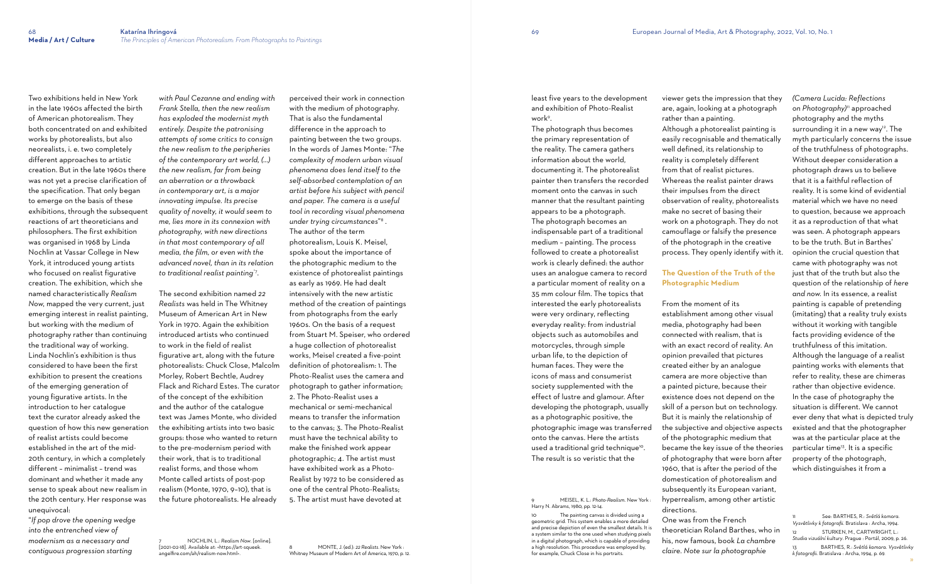Two exhibitions held in New York in the late 1960s affected the birth of American photorealism. They both concentrated on and exhibited works by photorealists, but also neorealists, i. e. two completely different approaches to artistic creation. But in the late 1960s there was not yet a precise clarification of the specification. That only began to emerge on the basis of these exhibitions, through the subsequent reactions of art theoreticians and philosophers. The first exhibition was organised in 1968 by Linda Nochlin at Vassar College in New York, it introduced young artists who focused on realist figurative creation. The exhibition, which she named characteristically *Realism Now*, mapped the very current, just emerging interest in realist painting, but working with the medium of photography rather than continuing the traditional way of working. Linda Nochlin's exhibition is thus considered to have been the first exhibition to present the creations of the emerging generation of young figurative artists. In the introduction to her catalogue text the curator already asked the question of how this new generation of realist artists could become established in the art of the mid-20th century, in which a completely different – minimalist – trend was dominant and whether it made any sense to speak about new realism in the 20th century. Her response was unequivocal:

"*If pop drove the opening wedge into the entrenched view of modernism as a necessary and contiguous progression starting* 

*with Paul Cezanne and ending with Frank Stella, then the new realism has exploded the modernist myth entirely. Despite the patronising attempts of some critics to consign the new realism to the peripheries of the contemporary art world, (...) the new realism, far from being an aberration or a throwback in contemporary art, is a major innovating impulse. Its precise quality of novelty, it would seem to me, lies more in its connexion with photography, with new directions in that most contemporary of all media, the film, or even with the advanced novel, than in its relation to traditional realist painting*"7 .

least five years to the development and exhibition of Photo-Realist work<sup>9</sup>.

The second exhibition named *22 Realists* was held in The Whitney Museum of American Art in New York in 1970. Again the exhibition introduced artists who continued to work in the field of realist figurative art, along with the future photorealists: Chuck Close, Malcolm Morley, Robert Bechtle, Audrey Flack and Richard Estes. The curator of the concept of the exhibition and the author of the catalogue text was James Monte, who divided the exhibiting artists into two basic groups: those who wanted to return to the pre-modernism period with their work, that is to traditional realist forms, and those whom Monte called artists of post-pop realism (Monte, 1970, 9–10), that is the future photorealists. He already

7 NOCHLIN, L.: *Realism Now*. [online]. [2021-02-18]. Available at: <https://art-squeek. angelfire.com/ah/realism-now.html>.

perceived their work in connection with the medium of photography. That is also the fundamental difference in the approach to painting between the two groups. In the words of James Monte: "*The complexity of modern urban visual phenomena does lend itself to the self-absorbed contemplation of an artist before his subject with pencil and paper. The camera is a useful tool in recording visual phenomena under trying circumstances*" 8 . The author of the term photorealism, Louis K. Meisel, spoke about the importance of the photographic medium to the existence of photorealist paintings as early as 1969. He had dealt intensively with the new artistic method of the creation of paintings from photographs from the early 1960s. On the basis of a request from Stuart M. Speiser, who ordered a huge collection of photorealist works, Meisel created a five-point definition of photorealism: 1. The Photo-Realist uses the camera and photograph to gather information; 2. The Photo-Realist uses a mechanical or semi-mechanical means to transfer the information to the canvas; 3. The Photo-Realist must have the technical ability to make the finished work appear photographic; 4. The artist must have exhibited work as a Photo-Realist by 1972 to be considered as one of the central Photo-Realists; 5. The artist must have devoted at

8 MONTE, J. (ed.): *22 Realists*. New York : Whitney Museum of Modern Art of America, 1970, p. 12. The photograph thus becomes the primary representation of the reality. The camera gathers information about the world, documenting it. The photorealist painter then transfers the recorded moment onto the canvas in such manner that the resultant painting appears to be a photograph. The photograph becomes an indispensable part of a traditional medium – painting. The process followed to create a photorealist work is clearly defined: the author uses an analogue camera to record a particular moment of reality on a 35 mm colour film. The topics that interested the early photorealists were very ordinary, reflecting everyday reality: from industrial objects such as automobiles and motorcycles, through simple urban life, to the depiction of human faces. They were the icons of mass and consumerist society supplemented with the effect of lustre and glamour. After developing the photograph, usually as a photographic positive, the photographic image was transferred onto the canvas. Here the artists used a traditional grid technique<sup>10</sup>. The result is so veristic that the

9 MEISEL, K. L.: *Photo-Realism*. New York : Harry N. Abrams, 1980, pp. 12-14.

10 The painting canvas is divided using a geometric grid. This system enables a more detailed and precise depiction of even the smallest details. It is a system similar to the one used when studying pixels in a digital photograph, which is capable of providing a high resolution. This procedure was employed by, for example, Chuck Close in his portraits.

viewer gets the impression that they are, again, looking at a photograph rather than a painting. Although a photorealist painting is easily recognisable and thematically well defined, its relationship to reality is completely different from that of realist pictures. Whereas the realist painter draws their impulses from the direct observation of reality, photorealists make no secret of basing their work on a photograph. They do not camouflage or falsify the presence of the photograph in the creative process. They openly identify with it.

## **The Question of the Truth of the Photographic Medium**

From the moment of its

establishment among other visual media, photography had been connected with realism, that is with an exact record of reality. An opinion prevailed that pictures created either by an analogue camera are more objective than a painted picture, because their existence does not depend on the skill of a person but on technology. But it is mainly the relationship of the subjective and objective aspects of the photographic medium that became the key issue of the theories of photography that were born after 1960, that is after the period of the domestication of photorealism and subsequently its European variant, hyperrealism, among other artistic directions. One was from the French theoretician Roland Barthes, who in his, now famous, book *La chambre claire. Note sur la photographie* 

*(Camera Lucida: Reflections on Photography)* 11 approached photography and the myths surrounding it in a new way 12 . The myth particularly concerns the issue of the truthfulness of photographs. Without deeper consideration a photograph draws us to believe that it is a faithful reflection of reality. It is some kind of evidential material which we have no need to question, because we approach it as a reproduction of that what was seen. A photograph appears to be the truth. But in Barthes' opinion the crucial question that came with photography was not just that of the truth but also the question of the relationship of *here and now.* In its essence, a realist painting is capable of pretending (imitating) that a reality truly exists without it working with tangible facts providing evidence of the truthfulness of this imitation. Although the language of a realist painting works with elements that refer to reality, these are chimeras rather than objective evidence. In the case of photography the situation is different. We cannot ever deny that what is depicted truly existed and that the photographer was at the particular place at the particular time 13 . It is a specific property of the photograph, which distinguishes it from a

11 See: BARTHES, R.: *Světlá komora. Vysvětlivky k fotografii*. Bratislava : Archa, 1994. 12 STURKEN, M., CARTWRIGHT, L.: *Studia vizuální kultury*. Prague : Portál, 2009, p. 26. 13 BARTHES, R.: *Světlá komora. Vysvětlivky k fotografii*. Bratislava : Archa, 1994, p. 69.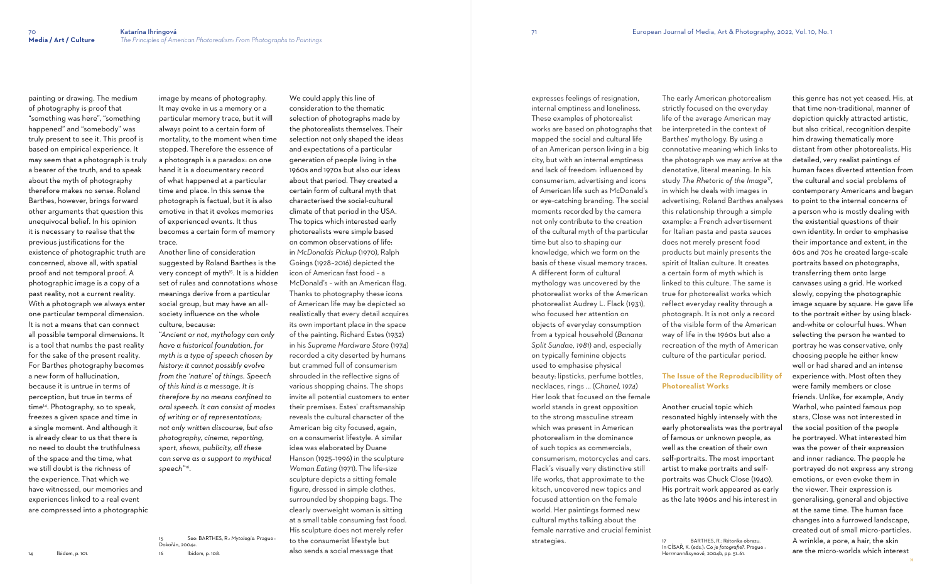painting or drawing. The medium of photography is proof that "something was here", "something happened" and "somebody" was truly present to see it. This proof is based on empirical experience. It may seem that a photograph is truly a bearer of the truth, and to speak about the myth of photography therefore makes no sense. Roland Barthes, however, brings forward other arguments that question this unequivocal belief. In his opinion it is necessary to realise that the previous justifications for the existence of photographic truth are concerned, above all, with spatial proof and not temporal proof. A photographic image is a copy of a past reality, not a current reality. With a photograph we always enter one particular temporal dimension. It is not a means that can connect all possible temporal dimensions. It is a tool that numbs the past reality for the sake of the present reality. For Barthes photography becomes a new form of hallucination, because it is untrue in terms of perception, but true in terms of time<sup>14</sup>. Photography, so to speak, freezes a given space and time in a single moment. And although it is already clear to us that there is no need to doubt the truthfulness of the space and the time, what we still doubt is the richness of the experience. That which we have witnessed, our memories and experiences linked to a real event are compressed into a photographic

image by means of photography. It may evoke in us a memory or a particular memory trace, but it will always point to a certain form of mortality, to the moment when time stopped. Therefore the essence of a photograph is a paradox: on one hand it is a documentary record of what happened at a particular time and place. In this sense the photograph is factual, but it is also emotive in that it evokes memories of experienced events. It thus becomes a certain form of memory trace.

Another line of consideration suggested by Roland Barthes is the very concept of myth<sup>15</sup>. It is a hidden set of rules and connotations whose meanings derive from a particular social group, but may have an allsociety influence on the whole culture, because:

"*Ancient or not, mythology can only have a historical foundation, for myth is a type of speech chosen by history: it cannot possibly evolve from the 'nature' of things. Speech of this kind is a message. It is therefore by no means confined to oral speech. It can consist of modes of writing or of representations; not only written discourse, but also photography, cinema, reporting, sport, shows, publicity, all these can serve as a support to mythical speech"*<sup>16</sup> *.*

15 See: BARTHES, R.: *Mytologie.* Prague :

Dokořán, 2004a. 16 Ibidem, p. 108. We could apply this line of consideration to the thematic selection of photographs made by the photorealists themselves. Their selection not only shaped the ideas and expectations of a particular generation of people living in the 1960s and 1970s but also our ideas about that period. They created a certain form of cultural myth that characterised the social-cultural climate of that period in the USA. The topics which interested early photorealists were simple based on common observations of life: in *McDonalds Pickup* (1970), Ralph Goings (1928–2016) depicted the icon of American fast food – a McDonald's – with an American flag. Thanks to photography these icons of American life may be depicted so realistically that every detail acquires its own important place in the space of the painting. Richard Estes (1932) in his *Supreme Hardware Store* (1974) recorded a city deserted by humans but crammed full of consumerism shrouded in the reflective signs of various shopping chains. The shops invite all potential customers to enter their premises. Estes' craftsmanship reveals the cultural character of the American big city focused, again, on a consumerist lifestyle. A similar idea was elaborated by Duane Hanson (1925–1996) in the sculpture *Woman Eating* (1971). The life-size sculpture depicts a sitting female figure, dressed in simple clothes, surrounded by shopping bags. The clearly overweight woman is sitting at a small table consuming fast food. His sculpture does not merely refer to the consumerist lifestyle but

also sends a social message that

expresses feelings of resignation, internal emptiness and loneliness. These examples of photorealist works are based on photographs that mapped the social and cultural life of an American person living in a big city, but with an internal emptiness and lack of freedom: influenced by consumerism, advertising and icons of American life such as McDonald's or eye-catching branding. The social moments recorded by the camera not only contribute to the creation of the cultural myth of the particular time but also to shaping our knowledge, which we form on the basis of these visual memory traces. A different form of cultural mythology was uncovered by the photorealist works of the American photorealist Audrey L. Flack (1931), who focused her attention on objects of everyday consumption from a typical household (*Banana Split Sundae, 1981*) and, especially on typically feminine objects used to emphasise physical beauty: lipsticks, perfume bottles, necklaces, rings ... (*Chanel, 1974*) Her look that focused on the female world stands in great opposition to the strong masculine stream which was present in American photorealism in the dominance of such topics as commercials, consumerism, motorcycles and cars. Flack's visually very distinctive still life works, that approximate to the kitsch, uncovered new topics and focused attention on the female world. Her paintings formed new cultural myths talking about the female narrative and crucial feminist

strategies.

The early American photorealism strictly focused on the everyday life of the average American may be interpreted in the context of Barthes' mythology. By using a connotative meaning which links to the photograph we may arrive at the denotative, literal meaning. In his study *The Rhetoric of the Image*<sup>17</sup> , in which he deals with images in advertising, Roland Barthes analyses this relationship through a simple example: a French advertisement for Italian pasta and pasta sauces does not merely present food products but mainly presents the spirit of Italian culture. It creates a certain form of myth which is linked to this culture. The same is true for photorealist works which reflect everyday reality through a photograph. It is not only a record of the visible form of the American way of life in the 1960s but also a recreation of the myth of American culture of the particular period. **The Issue of the Reproducibility of** 

## **Photorealist Works**

Another crucial topic which resonated highly intensely with the early photorealists was the portrayal of famous or unknown people, as well as the creation of their own self-portraits. The most important artist to make portraits and selfportraits was Chuck Close (1940). His portrait work appeared as early as the late 1960s and his interest in

this genre has not yet ceased. His, at that time non-traditional, manner of depiction quickly attracted artistic, but also critical, recognition despite him drawing thematically more distant from other photorealists. His detailed, very realist paintings of human faces diverted attention from the cultural and social problems of contemporary Americans and began to point to the internal concerns of a person who is mostly dealing with the existential questions of their own identity. In order to emphasise their importance and extent, in the 60s and 70s he created large-scale portraits based on photographs, transferring them onto large canvases using a grid. He worked slowly, copying the photographic image square by square. He gave life to the portrait either by using blackand-white or colourful hues. When selecting the person he wanted to portray he was conservative, only choosing people he either knew well or had shared and an intense experience with. Most often they were family members or close friends. Unlike, for example, Andy Warhol, who painted famous pop stars, Close was not interested in the social position of the people he portrayed. What interested him was the power of their expression and inner radiance. The people he portrayed do not express any strong emotions, or even evoke them in the viewer. Their expression is generalising, general and objective at the same time. The human face changes into a furrowed landscape, created out of small micro-particles. A wrinkle, a pore, a hair, the skin are the micro-worlds which interest

<sup>17</sup> BARTHES, R.: Rétorika obrazu. In CÍSAŘ, K. (eds.): *Co je fotografie?.* Prague :